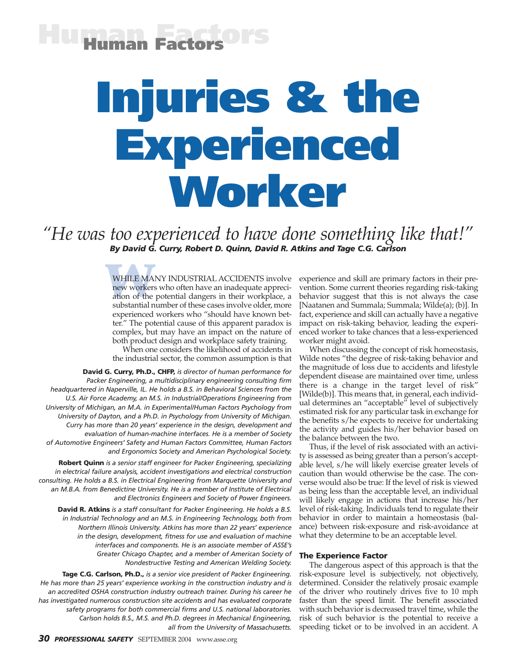## **Human Factors Human Factors**

# **Injuries & the Experienced Worker**

*"He was too experienced to have done something like that!" By David G. Curry, Robert D. Quinn, David R. Atkins and Tage C.G. Carlson*

> WHILE MAI<br>new workers<br>ation of the<br>substantial n WHILE MANY INDUSTRIAL ACCIDENTS involve new workers who often have an inadequate appreciation of the potential dangers in their workplace, a substantial number of these cases involve older, more experienced workers who "should have known better." The potential cause of this apparent paradox is complex, but may have an impact on the nature of both product design and workplace safety training.

When one considers the likelihood of accidents in the industrial sector, the common assumption is that

**David G. Curry, Ph.D., CHFP,** *is director of human performance for Packer Engineering, a multidisciplinary engineering consulting firm headquartered in Naperville, IL. He holds a B.S. in Behavioral Sciences from the U.S. Air Force Academy, an M.S. in Industrial/Operations Engineering from University of Michigan, an M.A. in Experimental/Human Factors Psychology from University of Dayton, and a Ph.D. in Psychology from University of Michigan. Curry has more than 20 years' experience in the design, development and evaluation of human-machine interfaces. He is a member of Society of Automotive Engineers' Safety and Human Factors Committee, Human Factors and Ergonomics Society and American Psychological Society.*

**Robert Quinn** *is a senior staff engineer for Packer Engineering, specializing in electrical failure analysis, accident investigations and electrical construction consulting. He holds a B.S. in Electrical Engineering from Marquette University and an M.B.A. from Benedictine University. He is a member of Institute of Electrical and Electronics Engineers and Society of Power Engineers.*

**David R. Atkins** *is a staff consultant for Packer Engineering. He holds a B.S. in Industrial Technology and an M.S. in Engineering Technology, both from Northern Illinois University. Atkins has more than 22 years' experience in the design, development, fitness for use and evaluation of machine interfaces and components. He is an associate member of ASSE's Greater Chicago Chapter, and a member of American Society of Nondestructive Testing and American Welding Society.*

**Tage C.G. Carlson, Ph.D.,** *is a senior vice president of Packer Engineering. He has more than 25 years' experience working in the construction industry and is an accredited OSHA construction industry outreach trainer. During his career he has investigated numerous construction site accidents and has evaluated corporate safety programs for both commercial firms and U.S. national laboratories. Carlson holds B.S., M.S. and Ph.D. degrees in Mechanical Engineering, all from the University of Massachusetts.*

experience and skill are primary factors in their prevention. Some current theories regarding risk-taking behavior suggest that this is not always the case [Naatanen and Summala; Summala; Wilde(a); (b)]. In fact, experience and skill can actually have a negative impact on risk-taking behavior, leading the experienced worker to take chances that a less-experienced worker might avoid.

When discussing the concept of risk homeostasis, Wilde notes "the degree of risk-taking behavior and the magnitude of loss due to accidents and lifestyle dependent disease are maintained over time, unless there is a change in the target level of risk" [Wilde(b)]. This means that, in general, each individual determines an "acceptable" level of subjectively estimated risk for any particular task in exchange for the benefits s/he expects to receive for undertaking the activity and guides his/her behavior based on the balance between the two.

Thus, if the level of risk associated with an activity is assessed as being greater than a person's acceptable level, s/he will likely exercise greater levels of caution than would otherwise be the case. The converse would also be true: If the level of risk is viewed as being less than the acceptable level, an individual will likely engage in actions that increase his/her level of risk-taking. Individuals tend to regulate their behavior in order to maintain a homeostasis (balance) between risk-exposure and risk-avoidance at what they determine to be an acceptable level.

#### **The Experience Factor**

The dangerous aspect of this approach is that the risk-exposure level is subjectively, not objectively, determined. Consider the relatively prosaic example of the driver who routinely drives five to 10 mph faster than the speed limit. The benefit associated with such behavior is decreased travel time, while the risk of such behavior is the potential to receive a speeding ticket or to be involved in an accident. A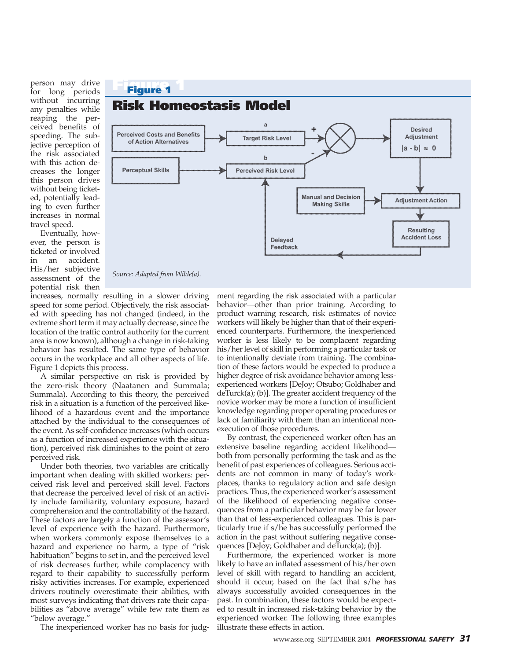person may drive for long periods without incurring any penalties while reaping the perceived benefits of speeding. The subjective perception of the risk associated with this action decreases the longer this person drives without being ticketed, potentially leading to even further increases in normal travel speed.

Eventually, however, the person is ticketed or involved in an accident. His/her subjective assessment of the potential risk then



*Source: Adapted from Wilde(a).*

increases, normally resulting in a slower driving speed for some period. Objectively, the risk associated with speeding has not changed (indeed, in the extreme short term it may actually decrease, since the location of the traffic control authority for the current area is now known), although a change in risk-taking behavior has resulted. The same type of behavior occurs in the workplace and all other aspects of life. Figure 1 depicts this process.

A similar perspective on risk is provided by the zero-risk theory (Naatanen and Summala; Summala). According to this theory, the perceived risk in a situation is a function of the perceived likelihood of a hazardous event and the importance attached by the individual to the consequences of the event. As self-confidence increases (which occurs as a function of increased experience with the situation), perceived risk diminishes to the point of zero perceived risk.

Under both theories, two variables are critically important when dealing with skilled workers: perceived risk level and perceived skill level. Factors that decrease the perceived level of risk of an activity include familiarity, voluntary exposure, hazard comprehension and the controllability of the hazard. These factors are largely a function of the assessor's level of experience with the hazard. Furthermore, when workers commonly expose themselves to a hazard and experience no harm, a type of "risk habituation" begins to set in, and the perceived level of risk decreases further, while complacency with regard to their capability to successfully perform risky activities increases. For example, experienced drivers routinely overestimate their abilities, with most surveys indicating that drivers rate their capabilities as "above average" while few rate them as "below average."

The inexperienced worker has no basis for judg-

ment regarding the risk associated with a particular behavior—other than prior training. According to product warning research, risk estimates of novice workers will likely be higher than that of their experienced counterparts. Furthermore, the inexperienced worker is less likely to be complacent regarding his/her level of skill in performing a particular task or to intentionally deviate from training. The combination of these factors would be expected to produce a higher degree of risk avoidance behavior among lessexperienced workers [DeJoy; Otsubo; Goldhaber and deTurck(a); (b)]. The greater accident frequency of the novice worker may be more a function of insufficient knowledge regarding proper operating procedures or lack of familiarity with them than an intentional nonexecution of those procedures.

By contrast, the experienced worker often has an extensive baseline regarding accident likelihood both from personally performing the task and as the benefit of past experiences of colleagues. Serious accidents are not common in many of today's workplaces, thanks to regulatory action and safe design practices. Thus, the experienced worker's assessment of the likelihood of experiencing negative consequences from a particular behavior may be far lower than that of less-experienced colleagues. This is particularly true if s/he has successfully performed the action in the past without suffering negative consequences [DeJoy; Goldhaber and deTurck(a); (b)].

Furthermore, the experienced worker is more likely to have an inflated assessment of his/her own level of skill with regard to handling an accident, should it occur, based on the fact that s/he has always successfully avoided consequences in the past. In combination, these factors would be expected to result in increased risk-taking behavior by the experienced worker. The following three examples illustrate these effects in action.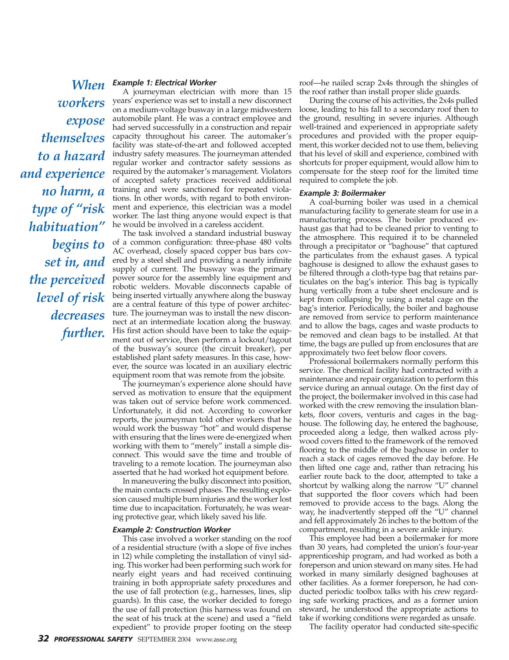*workers expose themselves to a hazard and experience no harm, a type of "risk habituation" begins to set in, and the perceived level of risk decreases further.* 

### *Example 1: Electrical Worker When*

A journeyman electrician with more than 15 years' experience was set to install a new disconnect on a medium-voltage busway in a large midwestern automobile plant. He was a contract employee and had served successfully in a construction and repair capacity throughout his career. The automaker's facility was state-of-the-art and followed accepted industry safety measures. The journeyman attended regular worker and contractor safety sessions as required by the automaker's management. Violators of accepted safety practices received additional training and were sanctioned for repeated violations. In other words, with regard to both environment and experience, this electrician was a model worker. The last thing anyone would expect is that he would be involved in a careless accident.

The task involved a standard industrial busway of a common configuration: three-phase 480 volts AC overhead, closely spaced copper bus bars covered by a steel shell and providing a nearly infinite supply of current. The busway was the primary power source for the assembly line equipment and robotic welders. Movable disconnects capable of being inserted virtually anywhere along the busway are a central feature of this type of power architecture. The journeyman was to install the new disconnect at an intermediate location along the busway. His first action should have been to take the equipment out of service, then perform a lockout/tagout of the busway's source (the circuit breaker), per established plant safety measures. In this case, however, the source was located in an auxiliary electric equipment room that was remote from the jobsite.

The journeyman's experience alone should have served as motivation to ensure that the equipment was taken out of service before work commenced. Unfortunately, it did not. According to coworker reports, the journeyman told other workers that he would work the busway "hot" and would dispense with ensuring that the lines were de-energized when working with them to "merely" install a simple disconnect. This would save the time and trouble of traveling to a remote location. The journeyman also asserted that he had worked hot equipment before.

In maneuvering the bulky disconnect into position, the main contacts crossed phases. The resulting explosion caused multiple burn injuries and the worker lost time due to incapacitation. Fortunately, he was wearing protective gear, which likely saved his life.

#### *Example 2: Construction Worker*

This case involved a worker standing on the roof of a residential structure (with a slope of five inches in 12) while completing the installation of vinyl siding. This worker had been performing such work for nearly eight years and had received continuing training in both appropriate safety procedures and the use of fall protection (e.g., harnesses, lines, slip guards). In this case, the worker decided to forego the use of fall protection (his harness was found on the seat of his truck at the scene) and used a "field expedient" to provide proper footing on the steep

roof—he nailed scrap 2x4s through the shingles of the roof rather than install proper slide guards.

During the course of his activities, the 2x4s pulled loose, leading to his fall to a secondary roof then to the ground, resulting in severe injuries. Although well-trained and experienced in appropriate safety procedures and provided with the proper equipment, this worker decided not to use them, believing that his level of skill and experience, combined with shortcuts for proper equipment, would allow him to compensate for the steep roof for the limited time required to complete the job.

#### *Example 3: Boilermaker*

A coal-burning boiler was used in a chemical manufacturing facility to generate steam for use in a manufacturing process. The boiler produced exhaust gas that had to be cleaned prior to venting to the atmosphere. This required it to be channeled through a precipitator or "baghouse" that captured the particulates from the exhaust gases. A typical baghouse is designed to allow the exhaust gases to be filtered through a cloth-type bag that retains particulates on the bag's interior. This bag is typically hung vertically from a tube sheet enclosure and is kept from collapsing by using a metal cage on the bag's interior. Periodically, the boiler and baghouse are removed from service to perform maintenance and to allow the bags, cages and waste products to be removed and clean bags to be installed. At that time, the bags are pulled up from enclosures that are approximately two feet below floor covers.

Professional boilermakers normally perform this service. The chemical facility had contracted with a maintenance and repair organization to perform this service during an annual outage. On the first day of the project, the boilermaker involved in this case had worked with the crew removing the insulation blankets, floor covers, venturis and cages in the baghouse. The following day, he entered the baghouse, proceeded along a ledge, then walked across plywood covers fitted to the framework of the removed flooring to the middle of the baghouse in order to reach a stack of cages removed the day before. He then lifted one cage and, rather than retracing his earlier route back to the door, attempted to take a shortcut by walking along the narrow "U" channel that supported the floor covers which had been removed to provide access to the bags. Along the way, he inadvertently stepped off the "U" channel and fell approximately 26 inches to the bottom of the compartment, resulting in a severe ankle injury.

This employee had been a boilermaker for more than 30 years, had completed the union's four-year apprenticeship program, and had worked as both a foreperson and union steward on many sites. He had worked in many similarly designed baghouses at other facilities. As a former foreperson, he had conducted periodic toolbox talks with his crew regarding safe working practices, and as a former union steward, he understood the appropriate actions to take if working conditions were regarded as unsafe.

The facility operator had conducted site-specific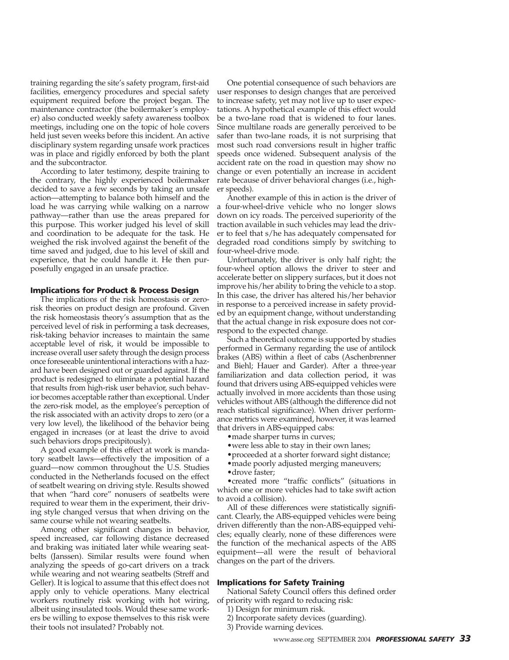training regarding the site's safety program, first-aid facilities, emergency procedures and special safety equipment required before the project began. The maintenance contractor (the boilermaker's employer) also conducted weekly safety awareness toolbox meetings, including one on the topic of hole covers held just seven weeks before this incident. An active disciplinary system regarding unsafe work practices was in place and rigidly enforced by both the plant and the subcontractor.

According to later testimony, despite training to the contrary, the highly experienced boilermaker decided to save a few seconds by taking an unsafe action—attempting to balance both himself and the load he was carrying while walking on a narrow pathway—rather than use the areas prepared for this purpose. This worker judged his level of skill and coordination to be adequate for the task. He weighed the risk involved against the benefit of the time saved and judged, due to his level of skill and experience, that he could handle it. He then purposefully engaged in an unsafe practice.

#### **Implications for Product & Process Design**

The implications of the risk homeostasis or zerorisk theories on product design are profound. Given the risk homeostasis theory's assumption that as the perceived level of risk in performing a task decreases, risk-taking behavior increases to maintain the same acceptable level of risk, it would be impossible to increase overall user safety through the design process once foreseeable unintentional interactions with a hazard have been designed out or guarded against. If the product is redesigned to eliminate a potential hazard that results from high-risk user behavior, such behavior becomes acceptable rather than exceptional. Under the zero-risk model, as the employee's perception of the risk associated with an activity drops to zero (or a very low level), the likelihood of the behavior being engaged in increases (or at least the drive to avoid such behaviors drops precipitously).

A good example of this effect at work is mandatory seatbelt laws—effectively the imposition of a guard—now common throughout the U.S. Studies conducted in the Netherlands focused on the effect of seatbelt wearing on driving style. Results showed that when "hard core" nonusers of seatbelts were required to wear them in the experiment, their driving style changed versus that when driving on the same course while not wearing seatbelts.

Among other significant changes in behavior, speed increased, car following distance decreased and braking was initiated later while wearing seatbelts (Janssen). Similar results were found when analyzing the speeds of go-cart drivers on a track while wearing and not wearing seatbelts (Streff and Geller). It is logical to assume that this effect does not apply only to vehicle operations. Many electrical workers routinely risk working with hot wiring, albeit using insulated tools. Would these same workers be willing to expose themselves to this risk were their tools not insulated? Probably not.

One potential consequence of such behaviors are user responses to design changes that are perceived to increase safety, yet may not live up to user expectations. A hypothetical example of this effect would be a two-lane road that is widened to four lanes. Since multilane roads are generally perceived to be safer than two-lane roads, it is not surprising that most such road conversions result in higher traffic speeds once widened. Subsequent analysis of the accident rate on the road in question may show no change or even potentially an increase in accident rate because of driver behavioral changes (i.e., higher speeds).

Another example of this in action is the driver of a four-wheel-drive vehicle who no longer slows down on icy roads. The perceived superiority of the traction available in such vehicles may lead the driver to feel that s/he has adequately compensated for degraded road conditions simply by switching to four-wheel-drive mode.

Unfortunately, the driver is only half right; the four-wheel option allows the driver to steer and accelerate better on slippery surfaces, but it does not improve his/her ability to bring the vehicle to a stop. In this case, the driver has altered his/her behavior in response to a perceived increase in safety provided by an equipment change, without understanding that the actual change in risk exposure does not correspond to the expected change.

Such a theoretical outcome is supported by studies performed in Germany regarding the use of antilock brakes (ABS) within a fleet of cabs (Aschenbrenner and Biehl; Hauer and Garder). After a three-year familiarization and data collection period, it was found that drivers using ABS-equipped vehicles were actually involved in more accidents than those using vehicles without ABS (although the difference did not reach statistical significance). When driver performance metrics were examined, however, it was learned that drivers in ABS-equipped cabs:

• made sharper turns in curves;

- •were less able to stay in their own lanes;
- •proceeded at a shorter forward sight distance;
- made poorly adjusted merging maneuvers;
- •drove faster;

•created more "traffic conflicts" (situations in which one or more vehicles had to take swift action to avoid a collision).

All of these differences were statistically significant. Clearly, the ABS-equipped vehicles were being driven differently than the non-ABS-equipped vehicles; equally clearly, none of these differences were the function of the mechanical aspects of the ABS equipment—all were the result of behavioral changes on the part of the drivers.

#### **Implications for Safety Training**

National Safety Council offers this defined order of priority with regard to reducing risk:

- 1) Design for minimum risk.
- 2) Incorporate safety devices (guarding).
- 3) Provide warning devices.